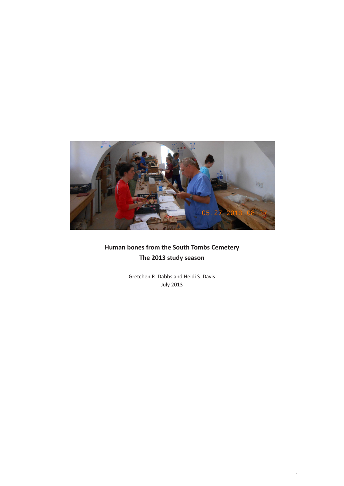

## **Human bones from the South Tombs Cemetery The 2013 study season**

Gretchen R. Dabbs and Heidi S. Davis July 2013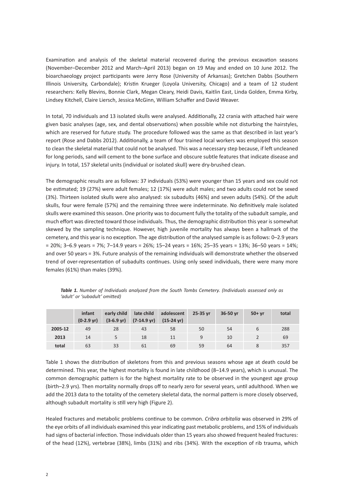Examination and analysis of the skeletal material recovered during the previous excavation seasons (November–December 2012 and March–April 2013) began on 19 May and ended on 10 June 2012. The bioarchaeology project participants were Jerry Rose (University of Arkansas); Gretchen Dabbs (Southern Illinois University, Carbondale); Kristin Krueger (Loyola University, Chicago) and a team of 12 student researchers: Kelly Blevins, Bonnie Clark, Megan Cleary, Heidi Davis, Kaitlin East, Linda Golden, Emma Kirby, Lindsey Kitchell, Claire Liersch, Jessica McGinn, William Schaffer and David Weaver.

In total, 70 individuals and 13 isolated skulls were analysed. Additionally, 22 crania with attached hair were given basic analyses (age, sex, and dental observations) when possible while not disturbing the hairstyles, which are reserved for future study. The procedure followed was the same as that described in last year's report (Rose and Dabbs 2012). Additionally, a team of four trained local workers was employed this season to clean the skeletal material that could not be analysed. This was a necessary step because, if left uncleaned for long periods, sand will cement to the bone surface and obscure subtle features that indicate disease and injury. In total, 157 skeletal units (individual or isolated skull) were dry-brushed clean.

The demographic results are as follows: 37 individuals (53%) were younger than 15 years and sex could not be estimated; 19 (27%) were adult females; 12 (17%) were adult males; and two adults could not be sexed (3%). Thirteen isolated skulls were also analysed: six subadults (46%) and seven adults (54%). Of the adult skulls, four were female (57%) and the remaining three were indeterminate. No definitively male isolated skulls were examined this season. One priority was to document fully the totality of the subadult sample, and much effort was directed toward those individuals. Thus, the demographic distribution this year is somewhat skewed by the sampling technique. However, high juvenile mortality has always been a hallmark of the cemetery, and this year is no exception. The age distribution of the analysed sample is as follows: 0–2.9 years = 20%; 3–6.9 years = 7%; 7–14.9 years = 26%; 15–24 years = 16%; 25–35 years = 13%; 36–50 years = 14%; and over 50 years = 3%. Future analysis of the remaining individuals will demonstrate whether the observed trend of over-representation of subadults continues. Using only sexed individuals, there were many more females (61%) than males (39%).

|         | infant<br>$(0-2.9 \text{ yr})$ | early child<br>$(3-6.9 \,\text{yr})$ | late child<br>$(7-14.9 \text{ yr})$ | adolescent<br>$(15-24 \text{ yr})$ | 25-35 vr | 36-50 yr | $50+vr$ | total |
|---------|--------------------------------|--------------------------------------|-------------------------------------|------------------------------------|----------|----------|---------|-------|
| 2005-12 | 49                             | 28                                   | 43                                  | 58                                 | 50       | 54       |         | 288   |
| 2013    | 14                             |                                      | 18                                  | 11                                 | 9        | 10       |         | 69    |
| total   | 63                             | 33                                   | 61                                  | 69                                 | 59       | 64       |         | 357   |

*Table 1. Number of Individuals analyzed from the South Tombs Cemetery. (Individuals assessed only as 'adult' or 'subadult' omitted)*

Table 1 shows the distribution of skeletons from this and previous seasons whose age at death could be determined. This year, the highest mortality is found in late childhood (8–14.9 years), which is unusual. The common demographic pattern is for the highest mortality rate to be observed in the youngest age group (birth–2.9 yrs). Then mortality normally drops off to nearly zero for several years, until adulthood. When we add the 2013 data to the totality of the cemetery skeletal data, the normal pattern is more closely observed, although subadult mortality is still very high (Figure 2).

Healed fractures and metabolic problems continue to be common. *Cribra orbitalia* was observed in 29% of the eye orbits of all individuals examined this year indicating past metabolic problems, and 15% of individuals had signs of bacterial infection. Those individuals older than 15 years also showed frequent healed fractures: of the head (12%), vertebrae (38%), limbs (31%) and ribs (34%). With the exception of rib trauma, which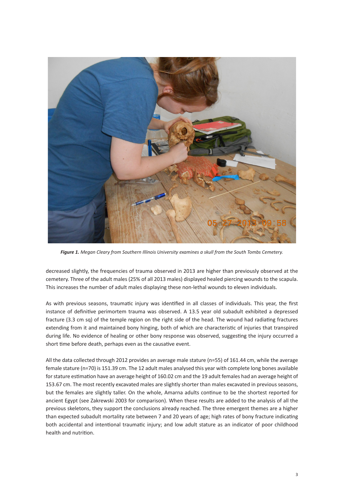

*Figure 1. Megan Cleary from Southern Illinois University examines a skull from the South Tombs Cemetery.*

decreased slightly, the frequencies of trauma observed in 2013 are higher than previously observed at the cemetery. Three of the adult males (25% of all 2013 males) displayed healed piercing wounds to the scapula. This increases the number of adult males displaying these non-lethal wounds to eleven individuals.

As with previous seasons, traumatic injury was identified in all classes of individuals. This year, the first instance of definitive perimortem trauma was observed. A 13.5 year old subadult exhibited a depressed fracture (3.3 cm sq) of the temple region on the right side of the head. The wound had radiating fractures extending from it and maintained bony hinging, both of which are characteristic of injuries that transpired during life. No evidence of healing or other bony response was observed, suggesting the injury occurred a short time before death, perhaps even as the causative event.

All the data collected through 2012 provides an average male stature (n=55) of 161.44 cm, while the average female stature (n=70) is 151.39 cm. The 12 adult males analysed this year with complete long bones available for stature estimation have an average height of 160.02 cm and the 19 adult females had an average height of 153.67 cm. The most recently excavated males are slightly shorter than males excavated in previous seasons, but the females are slightly taller. On the whole, Amarna adults continue to be the shortest reported for ancient Egypt (see Zakrewski 2003 for comparison). When these results are added to the analysis of all the previous skeletons, they support the conclusions already reached. The three emergent themes are a higher than expected subadult mortality rate between 7 and 20 years of age; high rates of bony fracture indicating both accidental and intentional traumatic injury; and low adult stature as an indicator of poor childhood health and nutrition.